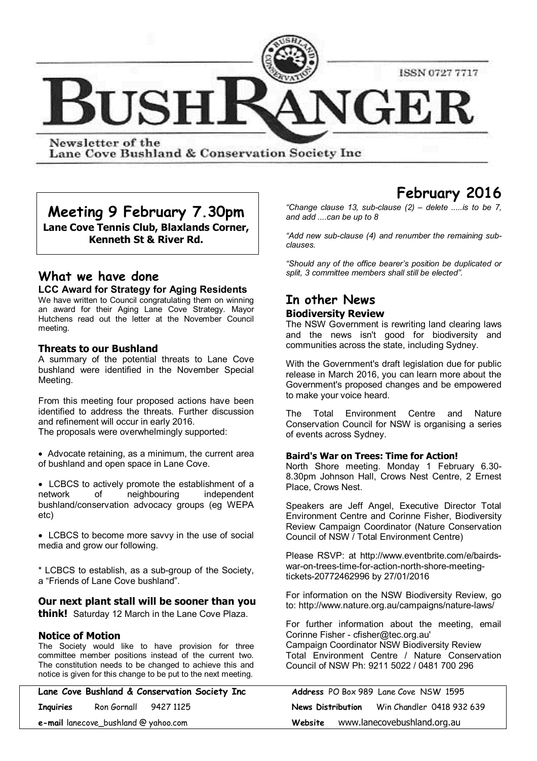

Newsletter of the Lane Cove Bushland & Conservation Society Inc

**Meeting 9 February 7.30pm Lane Cove Tennis Club, Blaxlands Corner, Kenneth St & River Rd.**

# **What we have done**

## **LCC Award for Strategy for Aging Residents**

We have written to Council congratulating them on winning an award for their Aging Lane Cove Strategy. Mayor Hutchens read out the letter at the November Council meeting.

### **Threats to our Bushland**

A summary of the potential threats to Lane Cove bushland were identified in the November Special Meeting.

From this meeting four proposed actions have been identified to address the threats. Further discussion and refinement will occur in early 2016.

The proposals were overwhelmingly supported:

• Advocate retaining, as a minimum, the current area of bushland and open space in Lane Cove.

 LCBCS to actively promote the establishment of a network of neighbouring independent bushland/conservation advocacy groups (eg WEPA etc)

 LCBCS to become more savvy in the use of social media and grow our following.

\* LCBCS to establish, as a sub-group of the Society, a "Friends of Lane Cove bushland".

# **Our next plant stall will be sooner than you**

**think!** Saturday 12 March in the Lane Cove Plaza.

### **Notice of Motion**

The Society would like to have provision for three committee member positions instead of the current two. The constitution needs to be changed to achieve this and notice is given for this change to be put to the next meeting.

|           |                                      | Lane Cove Bushland & Conservation Society Inc |                   | <b>Address</b> PO Box 989 Lane Cove NSW 1595 |  |
|-----------|--------------------------------------|-----------------------------------------------|-------------------|----------------------------------------------|--|
| Inquiries | Ron Gornall 9427 1125                |                                               | News Distribution | Win Chandler 0418 932 639                    |  |
|           | e-mail lanecove_bushland @ yahoo.com |                                               | Website           | www.lanecovebushland.org.au                  |  |

# **February 2016**

*"Change clause 13, sub-clause (2) – delete .....is to be 7, and add ....can be up to 8*

*"Add new sub-clause (4) and renumber the remaining subclauses.*

*"Should any of the office bearer's position be duplicated or split, 3 committee members shall still be elected".*

# **In other News Biodiversity Review**

The NSW Government is rewriting land clearing laws and the news isn't good for biodiversity and communities across the state, including Sydney.

With the Government's draft legislation due for public release in March 2016, you can learn more about the Government's proposed changes and be empowered to make your voice heard.

The Total Environment Centre and Nature Conservation Council for NSW is organising a series of events across Sydney.

#### **Baird's War on Trees: Time for Action!**

North Shore meeting. Monday 1 February 6.30- 8.30pm Johnson Hall, Crows Nest Centre, 2 Ernest Place, Crows Nest.

Speakers are Jeff Angel, Executive Director Total Environment Centre and Corinne Fisher, Biodiversity Review Campaign Coordinator (Nature Conservation Council of NSW / Total Environment Centre)

Please RSVP: at http://www.eventbrite.com/e/bairdswar-on-trees-time-for-action-north-shore-meetingtickets-20772462996 by 27/01/2016

For information on the NSW Biodiversity Review, go to: http://www.nature.org.au/campaigns/nature-laws/

For further information about the meeting, email Corinne Fisher - cfisher@tec.org.au' Campaign Coordinator NSW Biodiversity Review Total Environment Centre / Nature Conservation Council of NSW Ph: 9211 5022 / 0481 700 296

|                                             |                                     | <b>Address</b> PO Box 989 Lane Cove NSW 1595 |  |  |  |  |
|---------------------------------------------|-------------------------------------|----------------------------------------------|--|--|--|--|
| News Distribution Win Chandler 0418 932 639 |                                     |                                              |  |  |  |  |
|                                             | Website www.lanecovebushland.org.au |                                              |  |  |  |  |